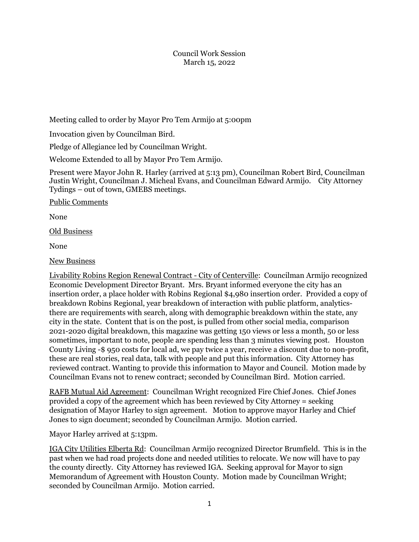## Council Work Session March 15, 2022

Meeting called to order by Mayor Pro Tem Armijo at 5:00pm

Invocation given by Councilman Bird.

Pledge of Allegiance led by Councilman Wright.

Welcome Extended to all by Mayor Pro Tem Armijo.

Present were Mayor John R. Harley (arrived at 5:13 pm), Councilman Robert Bird, Councilman Justin Wright, Councilman J. Micheal Evans, and Councilman Edward Armijo. City Attorney Tydings – out of town, GMEBS meetings.

Public Comments

None

Old Business

None

New Business

Livability Robins Region Renewal Contract - City of Centerville: Councilman Armijo recognized Economic Development Director Bryant. Mrs. Bryant informed everyone the city has an insertion order, a place holder with Robins Regional \$4,980 insertion order. Provided a copy of breakdown Robins Regional, year breakdown of interaction with public platform, analyticsthere are requirements with search, along with demographic breakdown within the state, any city in the state. Content that is on the post, is pulled from other social media, comparison 2021-2020 digital breakdown, this magazine was getting 150 views or less a month, 50 or less sometimes, important to note, people are spending less than 3 minutes viewing post. Houston County Living -\$ 950 costs for local ad, we pay twice a year, receive a discount due to non-profit, these are real stories, real data, talk with people and put this information. City Attorney has reviewed contract. Wanting to provide this information to Mayor and Council. Motion made by Councilman Evans not to renew contract; seconded by Councilman Bird. Motion carried.

RAFB Mutual Aid Agreement: Councilman Wright recognized Fire Chief Jones. Chief Jones provided a copy of the agreement which has been reviewed by City Attorney = seeking designation of Mayor Harley to sign agreement. Motion to approve mayor Harley and Chief Jones to sign document; seconded by Councilman Armijo. Motion carried.

Mayor Harley arrived at 5:13pm.

IGA City Utilities Elberta Rd: Councilman Armijo recognized Director Brumfield. This is in the past when we had road projects done and needed utilities to relocate. We now will have to pay the county directly. City Attorney has reviewed IGA. Seeking approval for Mayor to sign Memorandum of Agreement with Houston County. Motion made by Councilman Wright; seconded by Councilman Armijo. Motion carried.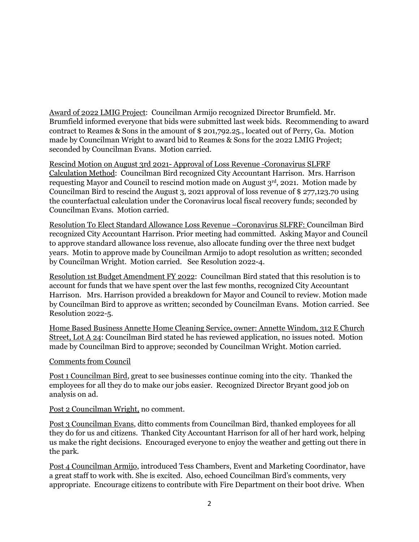Award of 2022 LMIG Project: Councilman Armijo recognized Director Brumfield. Mr. Brumfield informed everyone that bids were submitted last week bids. Recommending to award contract to Reames & Sons in the amount of \$ 201,792.25., located out of Perry, Ga. Motion made by Councilman Wright to award bid to Reames & Sons for the 2022 LMIG Project; seconded by Councilman Evans. Motion carried.

Rescind Motion on August 3rd 2021- Approval of Loss Revenue -Coronavirus SLFRF Calculation Method: Councilman Bird recognized City Accountant Harrison. Mrs. Harrison requesting Mayor and Council to rescind motion made on August 3rd, 2021. Motion made by Councilman Bird to rescind the August 3, 2021 approval of loss revenue of \$ 277,123.70 using the counterfactual calculation under the Coronavirus local fiscal recovery funds; seconded by Councilman Evans. Motion carried.

Resolution To Elect Standard Allowance Loss Revenue –Coronavirus SLFRF: Councilman Bird recognized City Accountant Harrison. Prior meeting had committed. Asking Mayor and Council to approve standard allowance loss revenue, also allocate funding over the three next budget years. Motin to approve made by Councilman Armijo to adopt resolution as written; seconded by Councilman Wright. Motion carried. See Resolution 2022-4.

Resolution 1st Budget Amendment FY 2022: Councilman Bird stated that this resolution is to account for funds that we have spent over the last few months, recognized City Accountant Harrison. Mrs. Harrison provided a breakdown for Mayor and Council to review. Motion made by Councilman Bird to approve as written; seconded by Councilman Evans. Motion carried. See Resolution 2022-5.

Home Based Business Annette Home Cleaning Service, owner: Annette Windom, 312 E Church Street, Lot A 24: Councilman Bird stated he has reviewed application, no issues noted. Motion made by Councilman Bird to approve; seconded by Councilman Wright. Motion carried.

## Comments from Council

Post 1 Councilman Bird, great to see businesses continue coming into the city. Thanked the employees for all they do to make our jobs easier. Recognized Director Bryant good job on analysis on ad.

Post 2 Councilman Wright, no comment.

Post 3 Councilman Evans, ditto comments from Councilman Bird, thanked employees for all they do for us and citizens. Thanked City Accountant Harrison for all of her hard work, helping us make the right decisions. Encouraged everyone to enjoy the weather and getting out there in the park.

Post 4 Councilman Armijo, introduced Tess Chambers, Event and Marketing Coordinator, have a great staff to work with. She is excited. Also, echoed Councilman Bird's comments, very appropriate. Encourage citizens to contribute with Fire Department on their boot drive. When